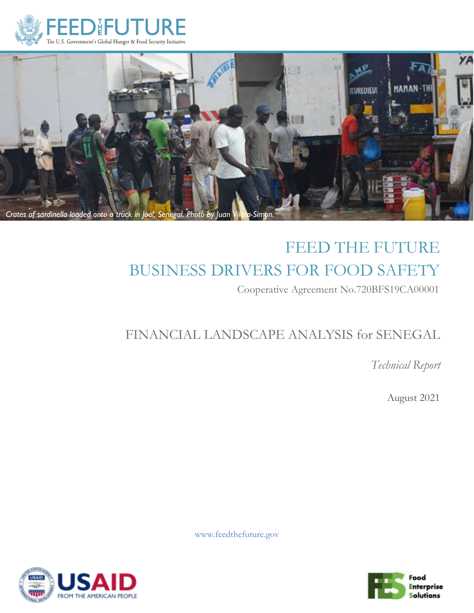



# FEED THE FUTURE BUSINESS DRIVERS FOR FOOD SAFETY Cooperative Agreement No.720BFS19CA00001

# FINANCIAL LANDSCAPE ANALYSIS for SENEGAL

*Technical Report*

August 2021

www.feedthefuture.gov



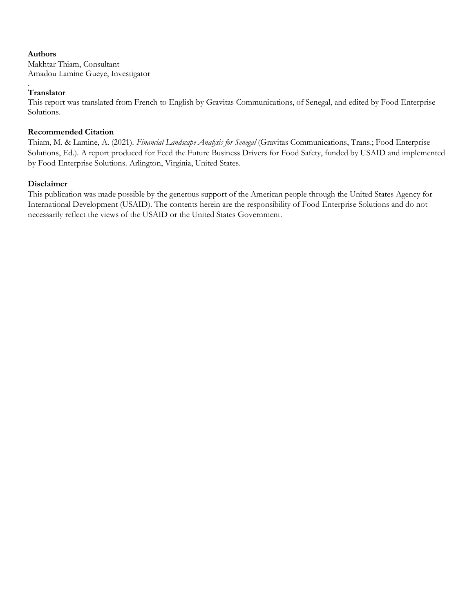#### **Authors**

Makhtar Thiam, Consultant Amadou Lamine Gueye, Investigator

#### . **Translator**

This report was translated from French to English by Gravitas Communications, of Senegal, and edited by Food Enterprise Solutions.

#### **Recommended Citation**

Thiam, M. & Lamine, A. (2021). *Financial Landscape Analysis for Senegal* (Gravitas Communications, Trans.; Food Enterprise Solutions, Ed.). A report produced for Feed the Future Business Drivers for Food Safety, funded by USAID and implemented by Food Enterprise Solutions. Arlington, Virginia, United States.

#### **Disclaimer**

This publication was made possible by the generous support of the American people through the United States Agency for International Development (USAID). The contents herein are the responsibility of Food Enterprise Solutions and do not necessarily reflect the views of the USAID or the United States Government.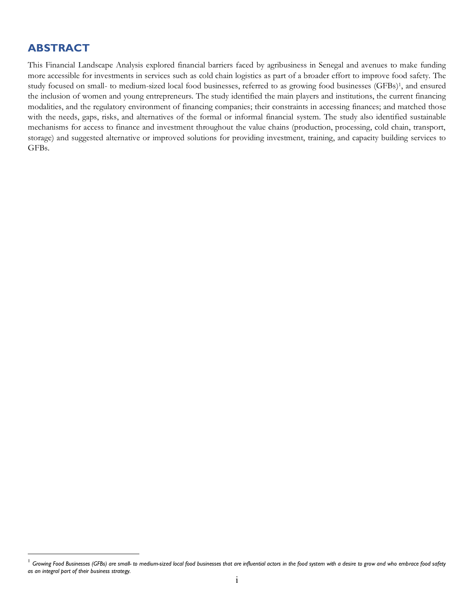### <span id="page-2-0"></span>**ABSTRACT**

This Financial Landscape Analysis explored financial barriers faced by agribusiness in Senegal and avenues to make funding more accessible for investments in services such as cold chain logistics as part of a broader effort to improve food safety. The study focused on small- to medium-sized local food businesses, referred to as growing food businesses (GFBs) <sup>1</sup>, and ensured the inclusion of women and young entrepreneurs. The study identified the main players and institutions, the current financing modalities, and the regulatory environment of financing companies; their constraints in accessing finances; and matched those with the needs, gaps, risks, and alternatives of the formal or informal financial system. The study also identified sustainable mechanisms for access to finance and investment throughout the value chains (production, processing, cold chain, transport, storage) and suggested alternative or improved solutions for providing investment, training, and capacity building services to GFBs.

<sup>&</sup>lt;sup>1</sup> Growing Food Businesses (GFBs) are small- to medium-sized local food businesses that are influential actors in the food system with a desire to grow and who embrace food safety *as an integral part of their business strategy.*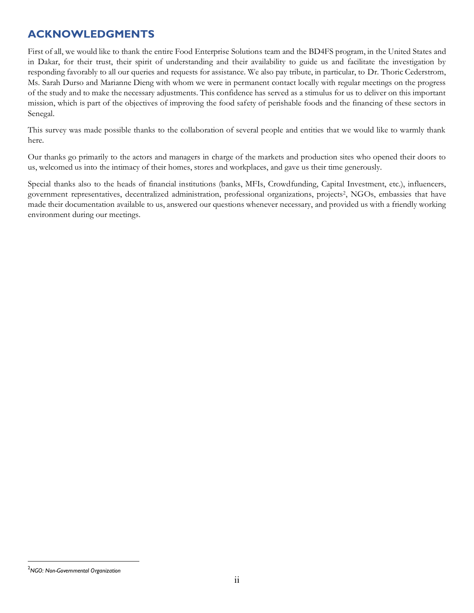### <span id="page-3-0"></span>**ACKNOWLEDGMENTS**

First of all, we would like to thank the entire Food Enterprise Solutions team and the BD4FS program, in the United States and in Dakar, for their trust, their spirit of understanding and their availability to guide us and facilitate the investigation by responding favorably to all our queries and requests for assistance. We also pay tribute, in particular, to Dr. Thoric Cederstrom, Ms. Sarah Durso and Marianne Dieng with whom we were in permanent contact locally with regular meetings on the progress of the study and to make the necessary adjustments. This confidence has served as a stimulus for us to deliver on this important mission, which is part of the objectives of improving the food safety of perishable foods and the financing of these sectors in Senegal.

This survey was made possible thanks to the collaboration of several people and entities that we would like to warmly thank here.

Our thanks go primarily to the actors and managers in charge of the markets and production sites who opened their doors to us, welcomed us into the intimacy of their homes, stores and workplaces, and gave us their time generously.

Special thanks also to the heads of financial institutions (banks, MFIs, Crowdfunding, Capital Investment, etc.), influencers, government representatives, decentralized administration, professional organizations, projects<sup>2</sup>, NGOs, embassies that have made their documentation available to us, answered our questions whenever necessary, and provided us with a friendly working environment during our meetings.

<sup>2</sup>*NGO: Non-Governmental Organization*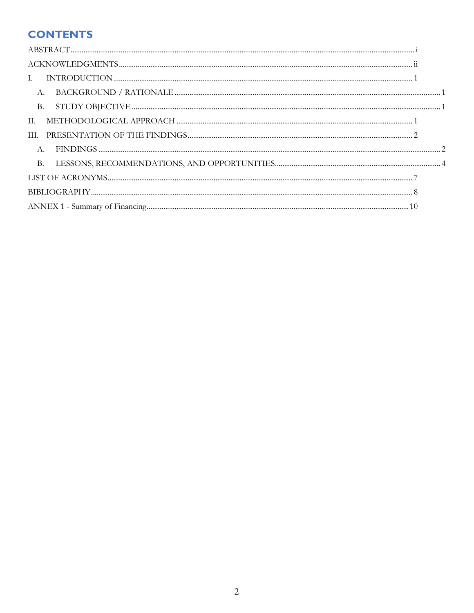### **CONTENTS**

| А.        |  |
|-----------|--|
| <b>B.</b> |  |
| П.        |  |
| III.      |  |
| A.        |  |
| <b>B.</b> |  |
|           |  |
|           |  |
|           |  |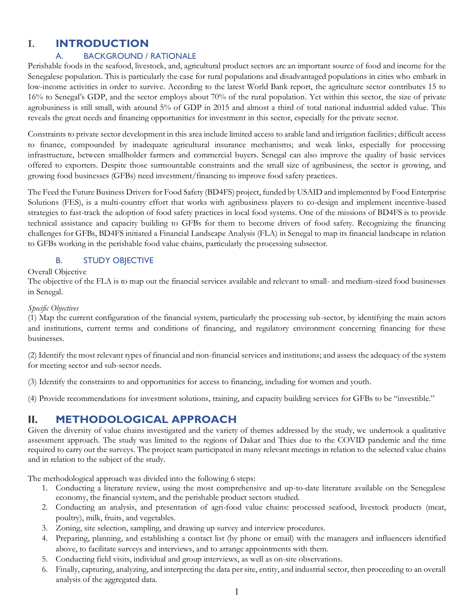### <span id="page-5-0"></span>**I. INTRODUCTION**

#### A. BACKGROUND / RATIONALE

<span id="page-5-1"></span>Perishable foods in the seafood, livestock, and, agricultural product sectors are an important source of food and income for the Senegalese population. This is particularly the case for rural populations and disadvantaged populations in cities who embark in low-income activities in order to survive. According to the latest World Bank report, the agriculture sector contributes 15 to 16% to Senegal's GDP, and the sector employs about 70% of the rural population. Yet within this sector, the size of private agrobusiness is still small, with around 5% of GDP in 2015 and almost a third of total national industrial added value. This reveals the great needs and financing opportunities for investment in this sector, especially for the private sector.

Constraints to private sector development in this area include limited access to arable land and irrigation facilities; difficult access to finance, compounded by inadequate agricultural insurance mechanisms; and weak links, especially for processing infrastructure, between smallholder farmers and commercial buyers. Senegal can also improve the quality of basic services offered to exporters. Despite those surmountable constraints and the small size of agribusiness, the sector is growing, and growing food businesses (GFBs) need investment/financing to improve food safety practices.

The Feed the Future Business Drivers for Food Safety (BD4FS) project, funded by USAID and implemented by Food Enterprise Solutions (FES), is a multi-country effort that works with agribusiness players to co-design and implement incentive-based strategies to fast-track the adoption of food safety practices in local food systems. One of the missions of BD4FS is to provide technical assistance and capacity building to GFBs for them to become drivers of food safety. Recognizing the financing challenges for GFBs, BD4FS initiated a Financial Landscape Analysis (FLA) in Senegal to map its financial landscape in relation to GFBs working in the perishable food value chains, particularly the processing subsector.

#### B. **STUDY OBJECTIVE**

<span id="page-5-2"></span>Overall Objective

The objective of the FLA is to map out the financial services available and relevant to small- and medium-sized food businesses in Senegal.

#### *Specific Objectives*

(1) Map the current configuration of the financial system, particularly the processing sub-sector, by identifying the main actors and institutions, current terms and conditions of financing, and regulatory environment concerning financing for these businesses.

(2) Identify the most relevant types of financial and non-financial services and institutions; and assess the adequacy of the system for meeting sector and sub-sector needs.

(3) Identify the constraints to and opportunities for access to financing, including for women and youth.

(4) Provide recommendations for investment solutions, training, and capacity building services for GFBs to be "investible."

### <span id="page-5-3"></span>**II. METHODOLOGICAL APPROACH**

Given the diversity of value chains investigated and the variety of themes addressed by the study, we undertook a qualitative assessment approach. The study was limited to the regions of Dakar and Thies due to the COVID pandemic and the time required to carry out the surveys. The project team participated in many relevant meetings in relation to the selected value chains and in relation to the subject of the study.

The methodological approach was divided into the following 6 steps:

- 1. Conducting a literature review, using the most comprehensive and up-to-date literature available on the Senegalese economy, the financial system, and the perishable product sectors studied.
- 2. Conducting an analysis, and presentation of agri-food value chains: processed seafood, livestock products (meat, poultry), milk, fruits, and vegetables.
- 3. Zoning, site selection, sampling, and drawing up survey and interview procedures.
- 4. Preparing, planning, and establishing a contact list (by phone or email) with the managers and influencers identified above, to facilitate surveys and interviews, and to arrange appointments with them.
- 5. Conducting field visits, individual and group interviews, as well as on-site observations.
- 6. Finally, capturing, analyzing, and interpreting the data per site, entity, and industrial sector, then proceeding to an overall analysis of the aggregated data.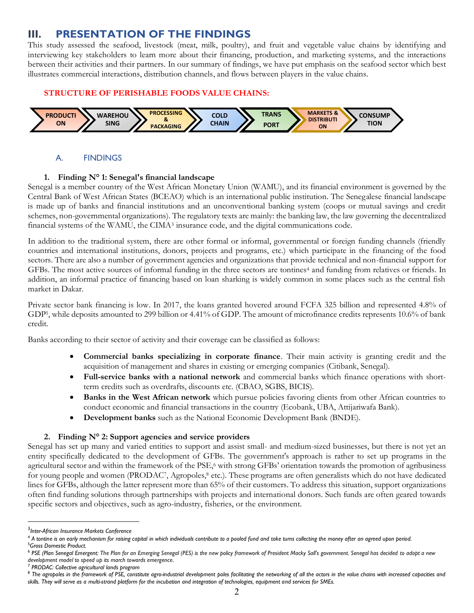### <span id="page-6-0"></span>**III. PRESENTATION OF THE FINDINGS**

This study assessed the seafood, livestock (meat, milk, poultry), and fruit and vegetable value chains by identifying and interviewing key stakeholders to learn more about their financing, production, and marketing systems, and the interactions between their activities and their partners. In our summary of findings, we have put emphasis on the seafood sector which best illustrates commercial interactions, distribution channels, and flows between players in the value chains.

#### **STRUCTURE OF PERISHABLE FOODS VALUE CHAINS:**



#### A. FINDINGS

#### <span id="page-6-1"></span>**1. Finding N° 1: Senegal's financial landscape**

Senegal is a member country of the West African Monetary Union (WAMU), and its financial environment is governed by the Central Bank of West African States (BCEAO) which is an international public institution. The Senegalese financial landscape is made up of banks and financial institutions and an unconventional banking system (coops or mutual savings and credit schemes, non-governmental organizations). The regulatory texts are mainly: the banking law, the law governing the decentralized financial systems of the WAMU, the CIMA<sup>3</sup> insurance code, and the digital communications code.

In addition to the traditional system, there are other formal or informal, governmental or foreign funding channels (friendly countries and international institutions, donors, projects and programs, etc.) which participate in the financing of the food sectors. There are also a number of government agencies and organizations that provide technical and non-financial support for GFBs. The most active sources of informal funding in the three sectors are tontines<sup>4</sup> and funding from relatives or friends. In addition, an informal practice of financing based on loan sharking is widely common in some places such as the central fish market in Dakar.

Private sector bank financing is low. In 2017, the loans granted hovered around FCFA 325 billion and represented 4.8% of GDP5, while deposits amounted to 299 billion or 4.41% of GDP. The amount of microfinance credits represents 10.6% of bank credit.

Banks according to their sector of activity and their coverage can be classified as follows:

- **Commercial banks specializing in corporate finance**. Their main activity is granting credit and the acquisition of management and shares in existing or emerging companies (Citibank, Senegal).
- **Full-service banks with a national network** and commercial banks which finance operations with shortterm credits such as overdrafts, discounts etc. (CBAO, SGBS, BICIS).
- **Banks in the West African network** which pursue policies favoring clients from other African countries to conduct economic and financial transactions in the country (Ecobank, UBA, Attijariwafa Bank).
- **Development banks** such as the National Economic Development Bank (BNDE).

#### **2. Finding N° 2: Support agencies and service providers**

Senegal has set up many and varied entities to support and assist small- and medium-sized businesses, but there is not yet an entity specifically dedicated to the development of GFBs. The government's approach is rather to set up programs in the agricultural sector and within the framework of the PSE,<sup>6</sup> with strong GFBs' orientation towards the promotion of agribusiness for young people and women (PRODAC7, Agropoles,<sup>8</sup> etc.). These programs are often generalists which do not have dedicated lines for GFBs, although the latter represent more than 65% of their customers. To address this situation, support organizations often find funding solutions through partnerships with projects and international donors. Such funds are often geared towards specific sectors and objectives, such as agro-industry, fisheries, or the environment.

<sup>3</sup> *Inter-African Insurance Markets Conference*

<sup>4</sup> *A tontine is an early mechanism for raising capital in which individuals contribute to a pooled fund and take turns collecting the money after an agreed upon period.* <sup>5</sup>*Gross Domestic Product.*

<sup>6</sup> *PSE (Plan Senegal Emergent: The Plan for an Emerging Senegal (PES) is the new policy framework of President Macky Sall's government. Senegal has decided to adopt a new development model to speed up its march towards emergence*.

<sup>7</sup> *PRODAC: Collective agricultural lands program*

<sup>&</sup>lt;sup>8</sup> The agropoles in the framework of PSE, constitute agro-industrial development poles facilitating the networking of all the actors in the value chains with increased capacities and *skills. They will serve as a multi-strand platform for the incubation and integration of technologies, equipment and services for SMEs.*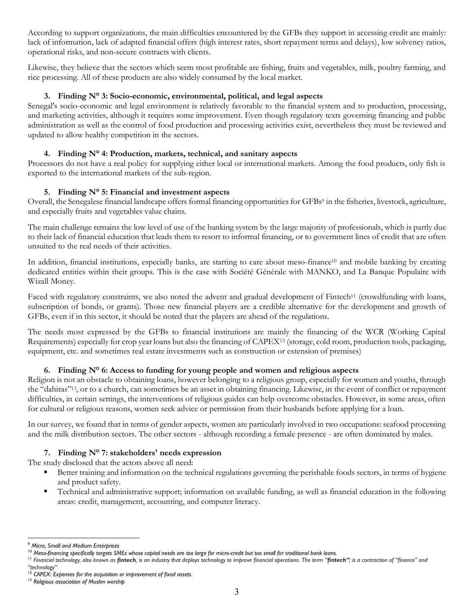According to support organizations, the main difficulties encountered by the GFBs they support in accessing credit are mainly: lack of information, lack of adapted financial offers (high interest rates, short repayment terms and delays), low solvency ratios, operational risks, and non-secure contracts with clients.

Likewise, they believe that the sectors which seem most profitable are fishing, fruits and vegetables, milk, poultry farming, and rice processing. All of these products are also widely consumed by the local market.

#### **3. Finding N° 3: Socio-economic, environmental, political, and legal aspects**

Senegal's socio-economic and legal environment is relatively favorable to the financial system and to production, processing, and marketing activities, although it requires some improvement. Even though regulatory texts governing financing and public administration as well as the control of food production and processing activities exist, nevertheless they must be reviewed and updated to allow healthy competition in the sectors.

#### **4. Finding N° 4: Production, markets, technical, and sanitary aspects**

Processors do not have a real policy for supplying either local or international markets. Among the food products, only fish is exported to the international markets of the sub-region.

#### **5. Finding N° 5: Financial and investment aspects**

Overall, the Senegalese financial landscape offers formal financing opportunities for GFBs<sup>9</sup> in the fisheries, livestock, agriculture, and especially fruits and vegetables value chains.

The main challenge remains the low level of use of the banking system by the large majority of professionals, which is partly due to their lack of financial education that leads them to resort to informal financing, or to government lines of credit that are often unsuited to the real needs of their activities.

In addition, financial institutions, especially banks, are starting to care about meso-finance<sup>10</sup> and mobile banking by creating dedicated entities within their groups. This is the case with Société Générale with MANKO, and La Banque Populaire with Wizall Money.

Faced with regulatory constraints, we also noted the advent and gradual development of Fintech<sup>11</sup> (crowdfunding with loans, subscription of bonds, or grants). Those new financial players are a credible alternative for the development and growth of GFBs, even if in this sector, it should be noted that the players are ahead of the regulations.

The needs most expressed by the GFBs to financial institutions are mainly the financing of the WCR (Working Capital Requirements) especially for crop year loans but also the financing of CAPEX<sup>12</sup> (storage, cold room, production tools, packaging, equipment, etc. and sometimes real estate investments such as construction or extension of premises)

#### **6. Finding N° 6: Access to funding for young people and women and religious aspects**

Religion is not an obstacle to obtaining loans, however belonging to a religious group, especially for women and youths, through the "dahiras"13, or to a church, can sometimes be an asset in obtaining financing. Likewise, in the event of conflict or repayment difficulties, in certain settings, the interventions of religious guides can help overcome obstacles. However, in some areas, often for cultural or religious reasons, women seek advice or permission from their husbands before applying for a loan.

In our survey, we found that in terms of gender aspects, women are particularly involved in two occupations: seafood processing and the milk distribution sectors. The other sectors - although recording a female presence - are often dominated by males.

#### **7. Finding N° 7: stakeholders' needs expression**

The study disclosed that the actors above all need:

- Better training and information on the technical regulations governing the perishable foods sectors, in terms of hygiene and product safety.
- Technical and administrative support; information on available funding, as well as financial education in the following areas: credit, management, accounting, and computer literacy.

<sup>9</sup> *Micro, Small and Medium Enterprises*

<sup>&</sup>lt;sup>10</sup> Meso-financing specifically targets SMEs whose capital needs are too large for micro-credit but too small for traditional bank loans.

<sup>&</sup>lt;sup>11</sup> Financial technology, also known as **fintech**, is an industry that deploys technology to improve financial operations. The term "**fintech"**, is a contraction of "finance" and *"technology"*

<sup>12</sup> *CAPEX: Expenses for the acquisition or improvement of fixed assets*.

<sup>13</sup> *Religious association of Muslim worship*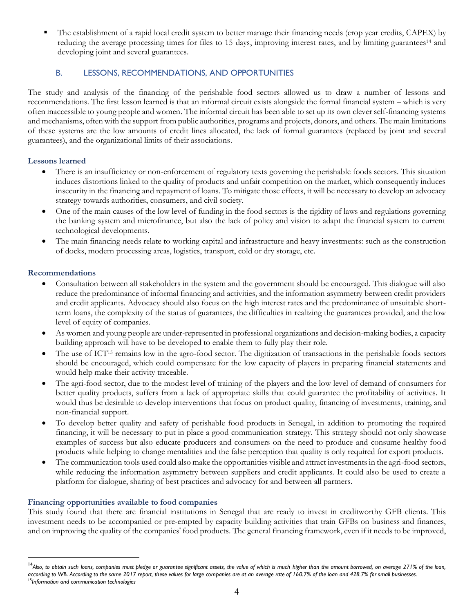The establishment of a rapid local credit system to better manage their financing needs (crop year credits, CAPEX) by reducing the average processing times for files to 15 days, improving interest rates, and by limiting guarantees<sup>14</sup> and developing joint and several guarantees.

#### B. LESSONS, RECOMMENDATIONS, AND OPPORTUNITIES

<span id="page-8-0"></span>The study and analysis of the financing of the perishable food sectors allowed us to draw a number of lessons and recommendations. The first lesson learned is that an informal circuit exists alongside the formal financial system – which is very often inaccessible to young people and women. The informal circuit has been able to set up its own clever self-financing systems and mechanisms, often with the support from public authorities, programs and projects, donors, and others. The main limitations of these systems are the low amounts of credit lines allocated, the lack of formal guarantees (replaced by joint and several guarantees), and the organizational limits of their associations.

#### **Lessons learned**

- There is an insufficiency or non-enforcement of regulatory texts governing the perishable foods sectors. This situation induces distortions linked to the quality of products and unfair competition on the market, which consequently induces insecurity in the financing and repayment of loans. To mitigate those effects, it will be necessary to develop an advocacy strategy towards authorities, consumers, and civil society.
- One of the main causes of the low level of funding in the food sectors is the rigidity of laws and regulations governing the banking system and microfinance, but also the lack of policy and vision to adapt the financial system to current technological developments.
- The main financing needs relate to working capital and infrastructure and heavy investments: such as the construction of docks, modern processing areas, logistics, transport, cold or dry storage, etc.

#### **Recommendations**

- Consultation between all stakeholders in the system and the government should be encouraged. This dialogue will also reduce the predominance of informal financing and activities, and the information asymmetry between credit providers and credit applicants. Advocacy should also focus on the high interest rates and the predominance of unsuitable shortterm loans, the complexity of the status of guarantees, the difficulties in realizing the guarantees provided, and the low level of equity of companies.
- As women and young people are under-represented in professional organizations and decision-making bodies, a capacity building approach will have to be developed to enable them to fully play their role.
- The use of ICT<sup>15</sup> remains low in the agro-food sector. The digitization of transactions in the perishable foods sectors should be encouraged, which could compensate for the low capacity of players in preparing financial statements and would help make their activity traceable.
- The agri-food sector, due to the modest level of training of the players and the low level of demand of consumers for better quality products, suffers from a lack of appropriate skills that could guarantee the profitability of activities. It would thus be desirable to develop interventions that focus on product quality, financing of investments, training, and non-financial support.
- To develop better quality and safety of perishable food products in Senegal, in addition to promoting the required financing, it will be necessary to put in place a good communication strategy. This strategy should not only showcase examples of success but also educate producers and consumers on the need to produce and consume healthy food products while helping to change mentalities and the false perception that quality is only required for export products.
- The communication tools used could also make the opportunities visible and attract investments in the agri-food sectors, while reducing the information asymmetry between suppliers and credit applicants. It could also be used to create a platform for dialogue, sharing of best practices and advocacy for and between all partners.

#### **Financing opportunities available to food companies**

This study found that there are financial institutions in Senegal that are ready to invest in creditworthy GFB clients. This investment needs to be accompanied or pre-empted by capacity building activities that train GFBs on business and finances, and on improving the quality of the companies' food products. The general financing framework, even if it needs to be improved,

<sup>&</sup>lt;sup>14</sup>Also, to obtain such loans, companies must pledge or guarantee significant assets, the value of which is much higher than the amount borrowed, on average 271% of the loan, *according to WB*. *According to the same 2017 report, these values for large companies are at an average rate of 160.7% of the loan and 428.7% for small businesses.* <sup>15</sup>*Information and communication technologies*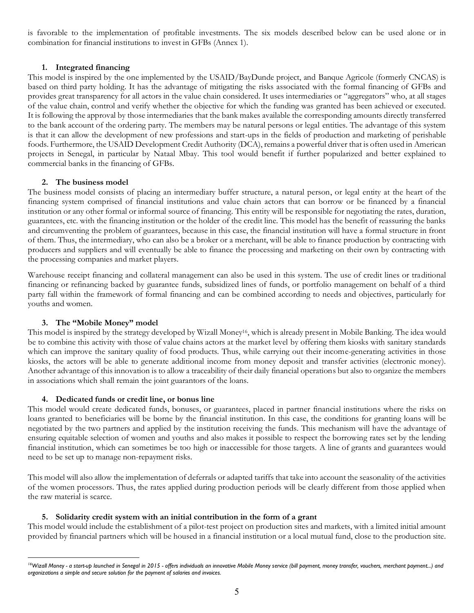is favorable to the implementation of profitable investments. The six models described below can be used alone or in combination for financial institutions to invest in GFBs (Annex 1).

#### **1. Integrated financing**

This model is inspired by the one implemented by the USAID/BayDunde project, and Banque Agricole (formerly CNCAS) is based on third party holding. It has the advantage of mitigating the risks associated with the formal financing of GFBs and provides great transparency for all actors in the value chain considered. It uses intermediaries or "aggregators" who, at all stages of the value chain, control and verify whether the objective for which the funding was granted has been achieved or executed. It is following the approval by those intermediaries that the bank makes available the corresponding amounts directly transferred to the bank account of the ordering party. The members may be natural persons or legal entities. The advantage of this system is that it can allow the development of new professions and start-ups in the fields of production and marketing of perishable foods. Furthermore, the USAID Development Credit Authority (DCA), remains a powerful driver that is often used in American projects in Senegal, in particular by Nataal Mbay. This tool would benefit if further popularized and better explained to commercial banks in the financing of GFBs.

#### **2. The business model**

The business model consists of placing an intermediary buffer structure, a natural person, or legal entity at the heart of the financing system comprised of financial institutions and value chain actors that can borrow or be financed by a financial institution or any other formal or informal source of financing. This entity will be responsible for negotiating the rates, duration, guarantees, etc. with the financing institution or the holder of the credit line. This model has the benefit of reassuring the banks and circumventing the problem of guarantees, because in this case, the financial institution will have a formal structure in front of them. Thus, the intermediary, who can also be a broker or a merchant, will be able to finance production by contracting with producers and suppliers and will eventually be able to finance the processing and marketing on their own by contracting with the processing companies and market players.

Warehouse receipt financing and collateral management can also be used in this system. The use of credit lines or traditional financing or refinancing backed by guarantee funds, subsidized lines of funds, or portfolio management on behalf of a third party fall within the framework of formal financing and can be combined according to needs and objectives, particularly for youths and women.

#### **3. The "Mobile Money" model**

This model is inspired by the strategy developed by Wizall Money<sup>16</sup>, which is already present in Mobile Banking. The idea would be to combine this activity with those of value chains actors at the market level by offering them kiosks with sanitary standards which can improve the sanitary quality of food products. Thus, while carrying out their income-generating activities in those kiosks, the actors will be able to generate additional income from money deposit and transfer activities (electronic money). Another advantage of this innovation is to allow a traceability of their daily financial operations but also to organize the members in associations which shall remain the joint guarantors of the loans.

#### **4. Dedicated funds or credit line, or bonus line**

This model would create dedicated funds, bonuses, or guarantees, placed in partner financial institutions where the risks on loans granted to beneficiaries will be borne by the financial institution. In this case, the conditions for granting loans will be negotiated by the two partners and applied by the institution receiving the funds. This mechanism will have the advantage of ensuring equitable selection of women and youths and also makes it possible to respect the borrowing rates set by the lending financial institution, which can sometimes be too high or inaccessible for those targets. A line of grants and guarantees would need to be set up to manage non-repayment risks.

This model will also allow the implementation of deferrals or adapted tariffs that take into account the seasonality of the activities of the women processors. Thus, the rates applied during production periods will be clearly different from those applied when the raw material is scarce.

#### **5. Solidarity credit system with an initial contribution in the form of a grant**

This model would include the establishment of a pilot-test project on production sites and markets, with a limited initial amount provided by financial partners which will be housed in a financial institution or a local mutual fund, close to the production site.

<sup>&</sup>lt;sup>16</sup>Wizall Money - a start-up launched in Senegal in 2015 - offers individuals an innovative Mobile Money service (bill payment, money transfer, vouchers, merchant payment...) and *organizations a simple and secure solution for the payment of salaries and invoices.*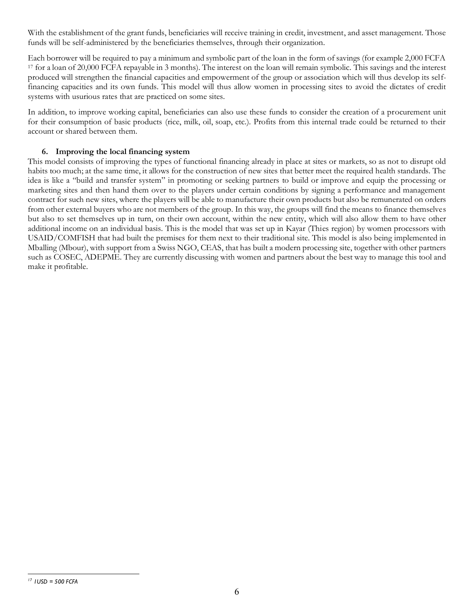With the establishment of the grant funds, beneficiaries will receive training in credit, investment, and asset management. Those funds will be self-administered by the beneficiaries themselves, through their organization.

Each borrower will be required to pay a minimum and symbolic part of the loan in the form of savings (for example 2,000 FCFA <sup>17</sup> for a loan of 20,000 FCFA repayable in 3 months). The interest on the loan will remain symbolic. This savings and the interest produced will strengthen the financial capacities and empowerment of the group or association which will thus develop its selffinancing capacities and its own funds. This model will thus allow women in processing sites to avoid the dictates of credit systems with usurious rates that are practiced on some sites.

In addition, to improve working capital, beneficiaries can also use these funds to consider the creation of a procurement unit for their consumption of basic products (rice, milk, oil, soap, etc.). Profits from this internal trade could be returned to their account or shared between them.

#### **6. Improving the local financing system**

This model consists of improving the types of functional financing already in place at sites or markets, so as not to disrupt old habits too much; at the same time, it allows for the construction of new sites that better meet the required health standards. The idea is like a "build and transfer system" in promoting or seeking partners to build or improve and equip the processing or marketing sites and then hand them over to the players under certain conditions by signing a performance and management contract for such new sites, where the players will be able to manufacture their own products but also be remunerated on orders from other external buyers who are not members of the group. In this way, the groups will find the means to finance themselves but also to set themselves up in turn, on their own account, within the new entity, which will also allow them to have other additional income on an individual basis. This is the model that was set up in Kayar (Thies region) by women processors with USAID/COMFISH that had built the premises for them next to their traditional site. This model is also being implemented in Mballing (Mbour), with support from a Swiss NGO, CEAS, that has built a modern processing site, together with other partners such as COSEC, ADEPME. They are currently discussing with women and partners about the best way to manage this tool and make it profitable.

*<sup>17</sup> 1USD = 500 FCFA*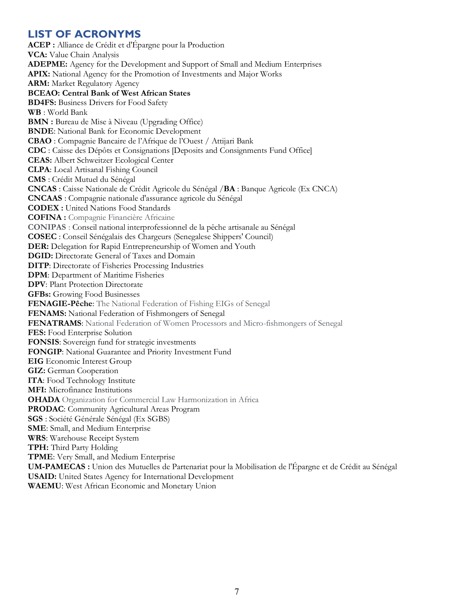### <span id="page-11-0"></span>**LIST OF ACRONYMS**

**ACEP :** Alliance de Crédit et d'Épargne pour la Production **VCA:** Value Chain Analysis **ADEPME:** Agency for the Development and Support of Small and Medium Enterprises **APIX:** National Agency for the Promotion of Investments and Major Works **ARM:** Market Regulatory Agency **BCEAO: Central Bank of West African States BD4FS:** Business Drivers for Food Safety **WB** : World Bank **BMN :** Bureau de Mise à Niveau (Upgrading Office) **BNDE**: National Bank for Economic Development **CBAO** : Compagnie Bancaire de l'Afrique de l'Ouest / Attijari Bank **CDC** : Caisse des Dépôts et Consignations [Deposits and Consignments Fund Office] **CEAS:** Albert Schweitzer Ecological Center **CLPA**: Local Artisanal Fishing Council **CMS** : Crédit Mutuel du Sénégal **CNCAS** : Caisse Nationale de Crédit Agricole du Sénégal /**BA** : Banque Agricole (Ex CNCA) **CNCAAS** : Compagnie nationale d'assurance agricole du Sénégal **CODEX :** United Nations Food Standards **COFINA :** Compagnie Financière Africaine **CONIPAS** : Conseil national interprofessionnel de la pêche artisanale au Sénégal **COSEC** : Conseil Sénégalais des Chargeurs (Senegalese Shippers' Council) **DER:** Delegation for Rapid Entrepreneurship of Women and Youth **DGID:** Directorate General of Taxes and Domain **DITP**: Directorate of Fisheries Processing Industries **DPM**: Department of Maritime Fisheries **DPV**: Plant Protection Directorate **GFBs:** Growing Food Businesses **FENAGIE-Pêche**: The National Federation of Fishing EIGs of Senegal **FENAMS:** National Federation of Fishmongers of Senegal **FENATRAMS**: National Federation of Women Processors and Micro-fishmongers of Senegal **FES:** Food Enterprise Solution **FONSIS**: Sovereign fund for strategic investments **FONGIP**: National Guarantee and Priority Investment Fund **EIG** Economic Interest Group **GIZ:** German Cooperation **ITA**: Food Technology Institute **MFI:** Microfinance Institutions **OHADA** Organization for Commercial Law Harmonization in Africa **PRODAC**: Community Agricultural Areas Program **SGS** : Société Générale Sénégal (Ex SGBS) **SME**: Small, and Medium Enterprise **WRS**: Warehouse Receipt System **TPH:** Third Party Holding **TPME**: Very Small, and Medium Enterprise **UM-PAMECAS :** Union des Mutuelles de Partenariat pour la Mobilisation de l'Épargne et de Crédit au Sénégal **USAID:** United States Agency for International Development **WAEMU**: West African Economic and Monetary Union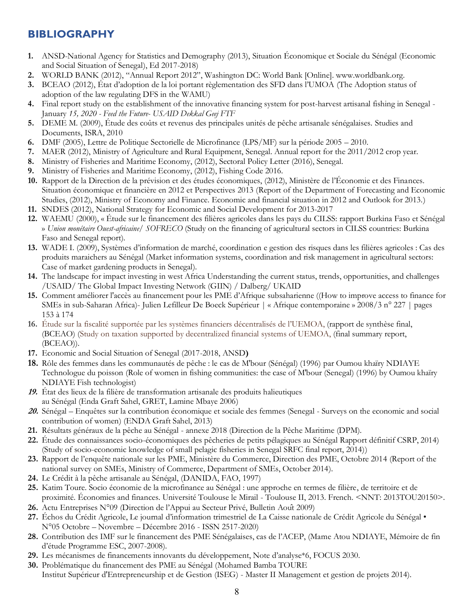### <span id="page-12-0"></span>**BIBLIOGRAPHY**

- **1.** ANSD-National Agency for Statistics and Demography (2013), Situation Économique et Sociale du Sénégal (Economic and Social Situation of Senegal), Ed 2017-2018)
- **2.** WORLD BANK (2012), "Annual Report 2012", Washington DC: World Bank [Online]. www.worldbank.org.
- **3.** BCEAO (2012), État d'adoption de la loi portant règlementation des SFD dans l'UMOA (The Adoption status of adoption of the law regulating DFS in the WAMU)
- **4.** Final report study on the establishment of the innovative financing system for post-harvest artisanal fishing in Senegal January *15, 2020 - Feed the Future- USAID Dekkal Geej FTF*
- **5.** DEME M. (2009), Étude des coûts et revenus des principales unités de pêche artisanale sénégalaises. Studies and Documents, ISRA, 2010
- **6.** DMF (2005), Lettre de Politique Sectorielle de Microfinance (LPS/MF) sur la période 2005 2010.
- **7.** MAER (2012), Ministry of Agriculture and Rural Equipment, Senegal. Annual report for the 2011/2012 crop year.
- **8.** Ministry of Fisheries and Maritime Economy, (2012), Sectoral Policy Letter (2016), Senegal.
- **9.** Ministry of Fisheries and Maritime Economy, (2012), Fishing Code 2016.
- **10.** Rapport de la Direction de la prévision et des études économiques, (2012), Ministère de l'Économie et des Finances. Situation économique et financière en 2012 et Perspectives 2013 (Report of the Department of Forecasting and Economic Studies, (2012), Ministry of Economy and Finance. Economic and financial situation in 2012 and Outlook for 2013.)
- **11.** SNDES (2012), National Strategy for Economic and Social Development for 2013-2017
- **12.** WAEMU (2000), « Étude sur le financement des filières agricoles dans les pays du CILSS: rapport Burkina Faso et Sénégal » *Union monétaire Ouest-africaine/ SOFRECO* (Study on the financing of agricultural sectors in CILSS countries: Burkina Faso and Senegal report)*.*
- **13.** WADE I. (2009), Systèmes d'information de marché, coordination e gestion des risques dans les filières agricoles : Cas des produits maraichers au Sénégal (Market information systems, coordination and risk management in agricultural sectors: Case of market gardening products in Senegal).
- **14.** The landscape for impact investing in west Africa Understanding the current status, trends, opportunities, and challenges /USAID/ The Global Impact Investing Network (GIIN) / Dalberg/ UKAID
- **15.** Comment améliorer l'accès au financement pour les PME d'Afrique subsaharienne ((How to improve access to finance for SMEs in sub-Saharan Africa)- Julien Lefilleur De Boeck Supérieur | « Afrique contemporaine » 2008/3 n° 227 | pages 153 à 174
- **16.** Étude sur la fiscalité supportée par les systèmes financiers décentralisés de l'UEMOA, (rapport de synthèse final, (BCEAO) (Study on taxation supported by decentralized financial systems of UEMOA, (final summary report, (BCEAO)).
- **17.** Economic and Social Situation of Senegal (2017-2018, ANSD**)**
- **18.** Rôle des femmes dans les communautés de pêche : le cas de M'bour (Sénégal) (1996) par Oumou khaïry NDIAYE Technologue du poisson (Role of women in fishing communities: the case of M'bour (Senegal) (1996) by Oumou khaïry NDIAYE Fish technologist)
- **19.** État des lieux de la filière de transformation artisanale des produits halieutiques au Sénégal (Enda Graft Sahel, GRET, Lamine Mbaye 2006)
- **20.** Sénégal Enquêtes sur la contribution économique et sociale des femmes (Senegal Surveys on the economic and social contribution of women) (ENDA Graft Sahel, 2013)
- **21.** Résultats généraux de la pêche au Sénégal annexe 2018 (Direction de la Pêche Maritime (DPM).
- **22.** Étude des connaissances socio-économiques des pêcheries de petits pélagiques au Sénégal Rapport définitif CSRP, 2014) (Study of socio-economic knowledge of small pelagic fisheries in Senegal SRFC final report, 2014))
- **23.** Rapport de l'enquête nationale sur les PME, Ministère du Commerce, Direction des PME, Octobre 2014 (Report of the national survey on SMEs, Ministry of Commerce, Department of SMEs, October 2014).
- **24.** Le Crédit à la pêche artisanale au Sénégal, (DANIDA, FAO, 1997)
- **25.** Katim Toure. Socio économie de la microfinance au Sénégal : une approche en termes de filière, de territoire et de proximité. Économies and finances. Université Toulouse le Mirail - Toulouse II, 2013. French. <NNT: 2013TOU20150>.
- **26.** Actu Entreprises N°09 (Direction de l'Appui au Secteur Privé, Bulletin Août 2009)
- **27.** Échos du Crédit Agricole, Le journal d'information trimestriel de La Caisse nationale de Crédit Agricole du Sénégal N°05 Octobre – Novembre – Décembre 2016 - ISSN 2517-2020)
- **28.** Contribution des IMF sur le financement des PME Sénégalaises, cas de l'ACEP, (Mame Atou NDIAYE, Mémoire de fin d'étude Programme ESC, 2007-2008).
- **29.** Les mécanismes de financements innovants du développement, Note d'analyse\*6, FOCUS 2030.
- **30.** Problématique du financement des PME au Sénégal (Mohamed Bamba TOURE Institut Supérieur d'Entrepreneurship et de Gestion (ISEG) - Master II Management et gestion de projets 2014).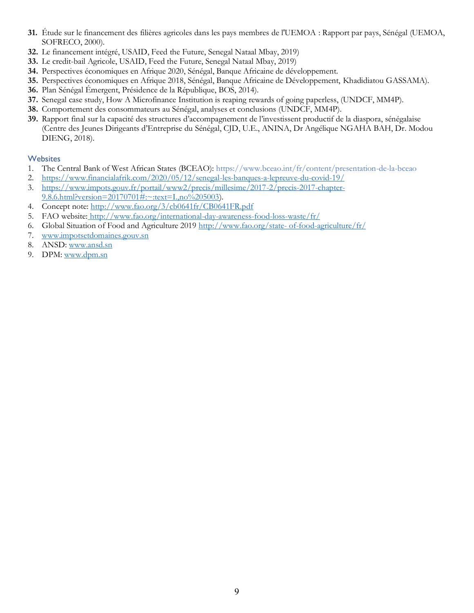- **31.** Étude sur le financement des filières agricoles dans les pays membres de l'UEMOA : Rapport par pays, Sénégal (UEMOA, SOFRECO, 2000).
- **32.** Le financement intégré, USAID, Feed the Future, Senegal Nataal Mbay, 2019)
- **33.** Le credit-bail Agricole, USAID, Feed the Future, Senegal Nataal Mbay, 2019)
- **34.** Perspectives économiques en Afrique 2020, Sénégal, Banque Africaine de développement.
- **35.** Perspectives économiques en Afrique 2018, Sénégal, Banque Africaine de Développement, Khadidiatou GASSAMA).
- **36.** Plan Sénégal Émergent, Présidence de la République, BOS, 2014).
- **37.** Senegal case study, How A Microfinance Institution is reaping rewards of going paperless, (UNDCF, MM4P).
- **38.** Comportement des consommateurs au Sénégal, analyses et conclusions (UNDCF, MM4P).
- **39.** Rapport final sur la capacité des structures d'accompagnement de l'investissent productif de la diaspora, sénégalaise (Centre des Jeunes Dirigeants d'Entreprise du Sénégal, CJD, U.E., ANINA, Dr Angélique NGAHA BAH, Dr. Modou DIENG, 2018).

#### **Websites**

- 1. The Central Bank of West African States (BCEAO): https://www.bceao.int/fr/content/presentation-de-la-bceao
- 2. <https://www.financialafrik.com/2020/05/12/senegal-les-banques-a-lepreuve-du-covid-19/>
- 3. [https://www.impots.gouv.fr/portail/www2/precis/millesime/2017-2/precis-2017-chapter-](https://www.impots.gouv.fr/portail/www2/precis/millesime/2017-2/precis-2017-chapter-9.8.6.html?version=20170701#:~:text=I.,no%205003)[9.8.6.html?version=20170701#:~:text=I.,no%205003\)](https://www.impots.gouv.fr/portail/www2/precis/millesime/2017-2/precis-2017-chapter-9.8.6.html?version=20170701#:~:text=I.,no%205003).
- 4. Concept note:<http://www.fao.org/3/cb0641fr/CB0641FR.pdf>
- 5. FAO website: <http://www.fao.org/international-day-awareness-food-loss-waste/fr/>
- 6. Global Situation of Food and Agriculture 2019 [http://www.fao.org/state-](http://www.fao.org/state-%20of-food-agriculture/fr/) of-food-agriculture/fr/
- 7. [www.impotsetdomaines.gouv.sn](http://www.impotsetdomaines.gouv.sn/)
- 8. ANSD: [www.ansd.sn](http://www.ansd.sn/)
- 9. DPM: [www.dpm.sn](http://www.dpm.sn/)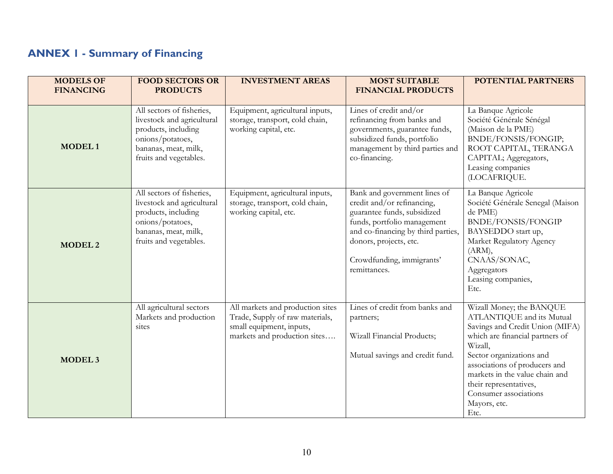# **ANNEX 1 - Summary of Financing**

<span id="page-14-0"></span>

| <b>MODELS OF</b><br><b>FINANCING</b> | <b>FOOD SECTORS OR</b><br><b>PRODUCTS</b>                                                                                                            | <b>INVESTMENT AREAS</b>                                                                                                         | <b>MOST SUITABLE</b><br><b>FINANCIAL PRODUCTS</b>                                                                                                                                                                                     | <b>POTENTIAL PARTNERS</b>                                                                                                                                                                                                                                                                                        |
|--------------------------------------|------------------------------------------------------------------------------------------------------------------------------------------------------|---------------------------------------------------------------------------------------------------------------------------------|---------------------------------------------------------------------------------------------------------------------------------------------------------------------------------------------------------------------------------------|------------------------------------------------------------------------------------------------------------------------------------------------------------------------------------------------------------------------------------------------------------------------------------------------------------------|
| <b>MODEL1</b>                        | All sectors of fisheries,<br>livestock and agricultural<br>products, including<br>onions/potatoes,<br>bananas, meat, milk,<br>fruits and vegetables. | Equipment, agricultural inputs,<br>storage, transport, cold chain,<br>working capital, etc.                                     | Lines of credit and/or<br>refinancing from banks and<br>governments, guarantee funds,<br>subsidized funds, portfolio<br>management by third parties and<br>co-financing.                                                              | La Banque Agricole<br>Société Générale Sénégal<br>(Maison de la PME)<br>BNDE/FONSIS/FONGIP;<br>ROOT CAPITAL, TERANGA<br>CAPITAL; Aggregators,<br>Leasing companies<br>(LOCAFRIQUE.                                                                                                                               |
| <b>MODEL 2</b>                       | All sectors of fisheries,<br>livestock and agricultural<br>products, including<br>onions/potatoes,<br>bananas, meat, milk,<br>fruits and vegetables. | Equipment, agricultural inputs,<br>storage, transport, cold chain,<br>working capital, etc.                                     | Bank and government lines of<br>credit and/or refinancing,<br>guarantee funds, subsidized<br>funds, portfolio management<br>and co-financing by third parties,<br>donors, projects, etc.<br>Crowdfunding, immigrants'<br>remittances. | La Banque Agricole<br>Société Générale Senegal (Maison<br>de PME)<br>BNDE/FONSIS/FONGIP<br>BAYSEDDO start up,<br>Market Regulatory Agency<br>(ARM),<br>CNAAS/SONAC,<br>Aggregators<br>Leasing companies,<br>Etc.                                                                                                 |
| MODEL <sub>3</sub>                   | All agricultural sectors<br>Markets and production<br>sites                                                                                          | All markets and production sites<br>Trade, Supply of raw materials,<br>small equipment, inputs,<br>markets and production sites | Lines of credit from banks and<br>partners;<br>Wizall Financial Products;<br>Mutual savings and credit fund.                                                                                                                          | Wizall Money; the BANQUE<br>ATLANTIQUE and its Mutual<br>Savings and Credit Union (MIFA)<br>which are financial partners of<br>Wizall,<br>Sector organizations and<br>associations of producers and<br>markets in the value chain and<br>their representatives,<br>Consumer associations<br>Mayors, etc.<br>Etc. |